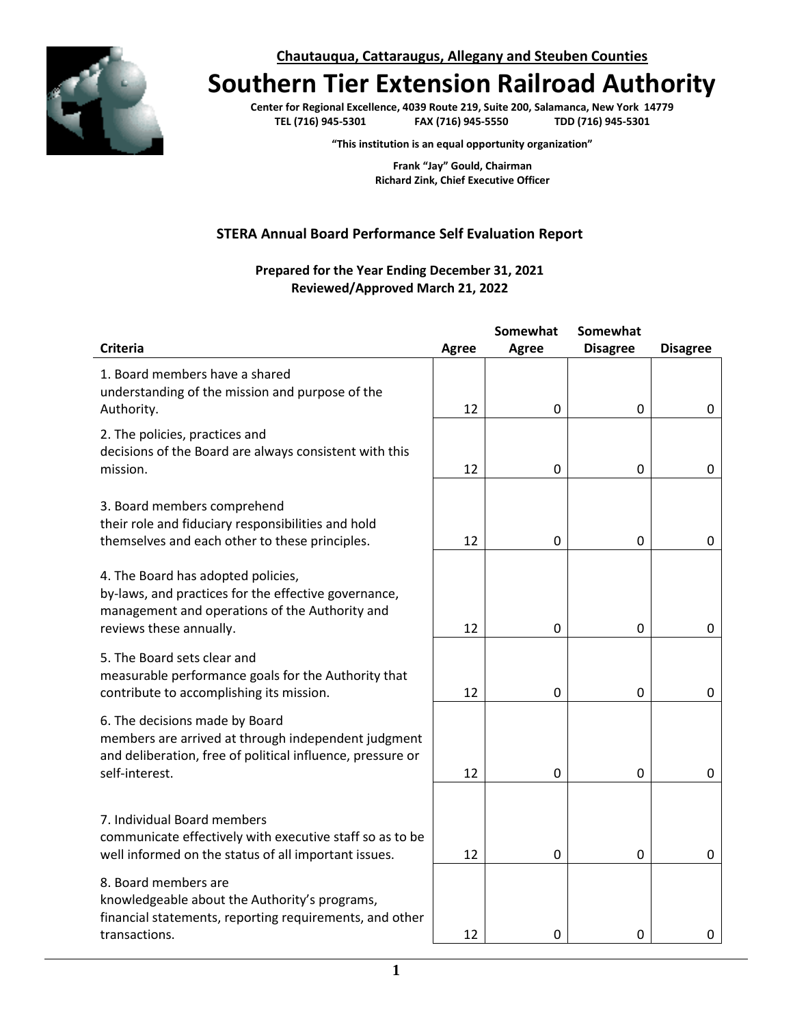

**Chautauqua, Cattaraugus, Allegany and Steuben Counties**

## **Southern Tier Extension Railroad Authority**

**Center for Regional Excellence, 4039 Route 219, Suite 200, Salamanca, New York 14779 TEL (716) 945-5301 FAX (716) 945-5550 TDD (716) 945-5301**

**"This institution is an equal opportunity organization"**

**Frank "Jay" Gould, Chairman Richard Zink, Chief Executive Officer**

## **STERA Annual Board Performance Self Evaluation Report**

## **Prepared for the Year Ending December 31, 2021 Reviewed/Approved March 21, 2022**

|                                                                                                                                                                         |              | Somewhat | <b>Somewhat</b> |                 |
|-------------------------------------------------------------------------------------------------------------------------------------------------------------------------|--------------|----------|-----------------|-----------------|
| <b>Criteria</b>                                                                                                                                                         | <b>Agree</b> | Agree    | <b>Disagree</b> | <b>Disagree</b> |
| 1. Board members have a shared<br>understanding of the mission and purpose of the<br>Authority.                                                                         | 12           | 0        | 0               | 0               |
| 2. The policies, practices and<br>decisions of the Board are always consistent with this<br>mission.                                                                    | 12           | 0        | 0               | 0               |
| 3. Board members comprehend<br>their role and fiduciary responsibilities and hold<br>themselves and each other to these principles.                                     | 12           | 0        | 0               | 0               |
| 4. The Board has adopted policies,<br>by-laws, and practices for the effective governance,<br>management and operations of the Authority and<br>reviews these annually. | 12           | 0        | 0               | 0               |
| 5. The Board sets clear and<br>measurable performance goals for the Authority that<br>contribute to accomplishing its mission.                                          | 12           | 0        | 0               | 0               |
| 6. The decisions made by Board<br>members are arrived at through independent judgment<br>and deliberation, free of political influence, pressure or<br>self-interest.   | 12           | 0        | 0               | 0               |
|                                                                                                                                                                         |              |          |                 |                 |
| 7. Individual Board members<br>communicate effectively with executive staff so as to be<br>well informed on the status of all important issues.                         | 12           | 0        | 0               | 0               |
| 8. Board members are<br>knowledgeable about the Authority's programs,<br>financial statements, reporting requirements, and other<br>transactions.                       | 12           | 0        | 0               | 0               |